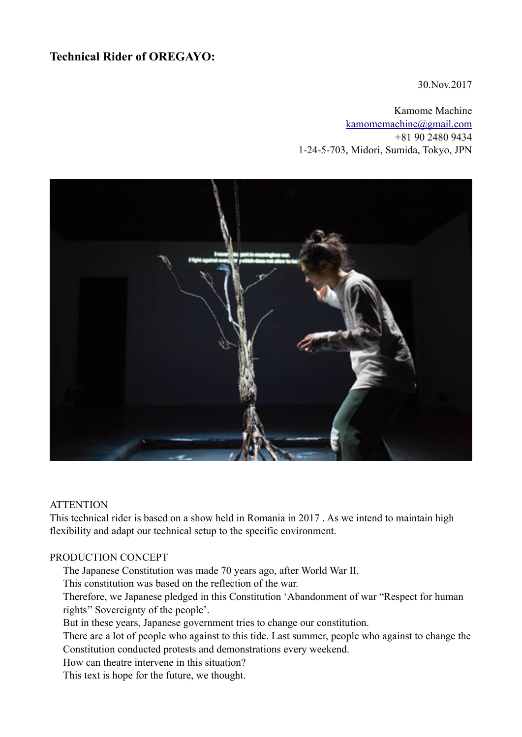# **Technical Rider of OREGAYO:**

30.Nov.2017

Kamome Machine [kamomemachine@gmail.com](mailto:kamomemachine@gmail.com) +81 90 2480 9434 1-24-5-703, Midori, Sumida, Tokyo, JPN



#### **ATTENTION**

This technical rider is based on a show held in Romania in 2017 . As we intend to maintain high flexibility and adapt our technical setup to the specific environment.

#### PRODUCTION CONCEPT

The Japanese Constitution was made 70 years ago, after World War II.

This constitution was based on the reflection of the war.

Therefore, we Japanese pledged in this Constitution 'Abandonment of war "Respect for human rights'' Sovereignty of the people'.

But in these years, Japanese government tries to change our constitution.

There are a lot of people who against to this tide. Last summer, people who against to change the Constitution conducted protests and demonstrations every weekend.

How can theatre intervene in this situation?

This text is hope for the future, we thought.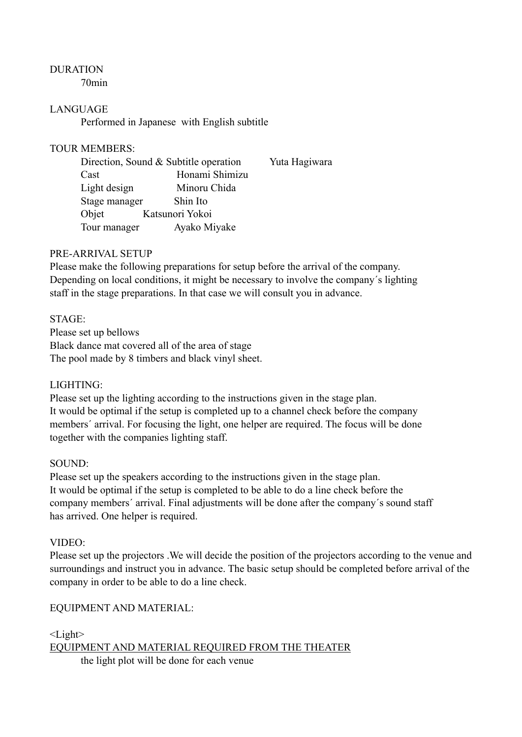# DURATION

70min

## LANGUAGE

Performed in Japanese with English subtitle

#### TOUR MEMBERS:

|               | Direction, Sound & Subtitle operation |  |
|---------------|---------------------------------------|--|
| Cast          | Honami Shimizu                        |  |
| Light design  | Minoru Chida                          |  |
| Stage manager | Shin Ito                              |  |
| Objet         | Katsunori Yokoi                       |  |
| Tour manager  | Ayako Miyake                          |  |

## PRE-ARRIVAL SETUP

Please make the following preparations for setup before the arrival of the company. Depending on local conditions, it might be necessary to involve the company´s lighting staff in the stage preparations. In that case we will consult you in advance.

# STAGE:

Please set up bellows Black dance mat covered all of the area of stage The pool made by 8 timbers and black vinyl sheet.

## LIGHTING:

Please set up the lighting according to the instructions given in the stage plan. It would be optimal if the setup is completed up to a channel check before the company members´ arrival. For focusing the light, one helper are required. The focus will be done together with the companies lighting staff.

#### SOUND:

Please set up the speakers according to the instructions given in the stage plan. It would be optimal if the setup is completed to be able to do a line check before the company members´ arrival. Final adjustments will be done after the company´s sound staff has arrived. One helper is required.

#### VIDEO:

Please set up the projectors .We will decide the position of the projectors according to the venue and surroundings and instruct you in advance. The basic setup should be completed before arrival of the company in order to be able to do a line check.

#### EQUIPMENT AND MATERIAL:

<Light> EQUIPMENT AND MATERIAL REQUIRED FROM THE THEATER the light plot will be done for each venue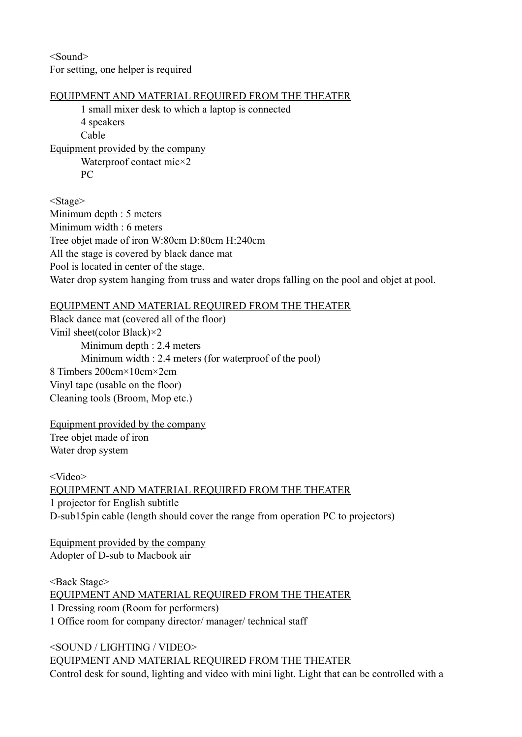<Sound> For setting, one helper is required

## EQUIPMENT AND MATERIAL REQUIRED FROM THE THEATER

1 small mixer desk to which a laptop is connected 4 speakers Cable Equipment provided by the company Waterproof contact mic×2

PC

<Stage>

Minimum depth : 5 meters Minimum width : 6 meters Tree objet made of iron W:80cm D:80cm H:240cm All the stage is covered by black dance mat Pool is located in center of the stage. Water drop system hanging from truss and water drops falling on the pool and objet at pool.

# EQUIPMENT AND MATERIAL REQUIRED FROM THE THEATER

Black dance mat (covered all of the floor) Vinil sheet(color Black)×2 Minimum depth : 2.4 meters Minimum width : 2.4 meters (for waterproof of the pool) 8 Timbers 200cm×10cm×2cm Vinyl tape (usable on the floor) Cleaning tools (Broom, Mop etc.)

Equipment provided by the company Tree objet made of iron Water drop system

<Video> EQUIPMENT AND MATERIAL REQUIRED FROM THE THEATER 1 projector for English subtitle D-sub15pin cable (length should cover the range from operation PC to projectors)

Equipment provided by the company Adopter of D-sub to Macbook air

<Back Stage> EQUIPMENT AND MATERIAL REQUIRED FROM THE THEATER 1 Dressing room (Room for performers) 1 Office room for company director/ manager/ technical staff

<SOUND / LIGHTING / VIDEO> EQUIPMENT AND MATERIAL REQUIRED FROM THE THEATER Control desk for sound, lighting and video with mini light. Light that can be controlled with a